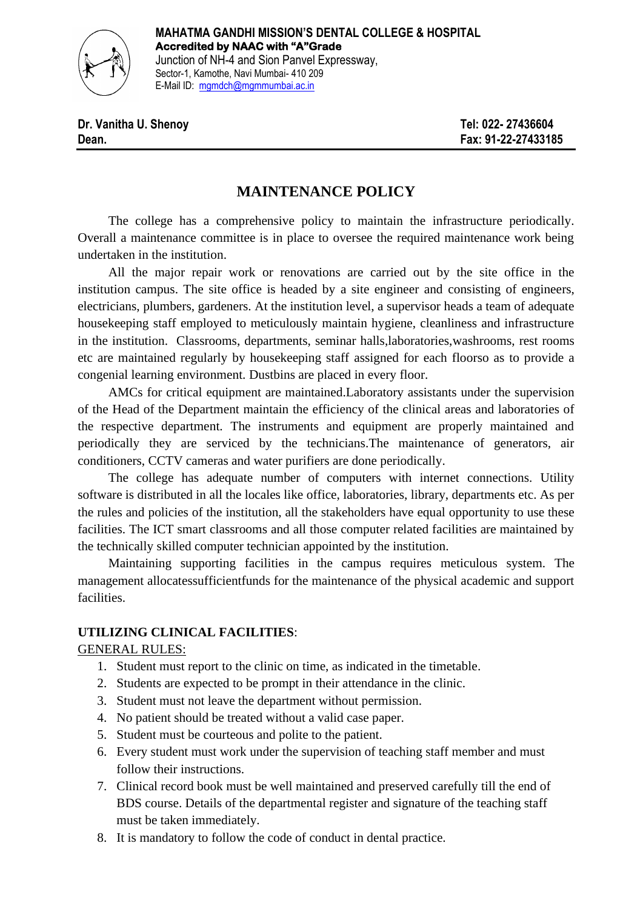

# **MAINTENANCE POLICY**

The college has a comprehensive policy to maintain the infrastructure periodically. Overall a maintenance committee is in place to oversee the required maintenance work being undertaken in the institution.

All the major repair work or renovations are carried out by the site office in the institution campus. The site office is headed by a site engineer and consisting of engineers, electricians, plumbers, gardeners. At the institution level, a supervisor heads a team of adequate housekeeping staff employed to meticulously maintain hygiene, cleanliness and infrastructure in the institution. Classrooms, departments, seminar halls,laboratories,washrooms, rest rooms etc are maintained regularly by housekeeping staff assigned for each floorso as to provide a congenial learning environment. Dustbins are placed in every floor.

AMCs for critical equipment are maintained.Laboratory assistants under the supervision of the Head of the Department maintain the efficiency of the clinical areas and laboratories of the respective department. The instruments and equipment are properly maintained and periodically they are serviced by the technicians.The maintenance of generators, air conditioners, CCTV cameras and water purifiers are done periodically.

The college has adequate number of computers with internet connections. Utility software is distributed in all the locales like office, laboratories, library, departments etc. As per the rules and policies of the institution, all the stakeholders have equal opportunity to use these facilities. The ICT smart classrooms and all those computer related facilities are maintained by the technically skilled computer technician appointed by the institution.

Maintaining supporting facilities in the campus requires meticulous system. The management allocatessufficientfunds for the maintenance of the physical academic and support facilities.

# **UTILIZING CLINICAL FACILITIES**:

#### GENERAL RULES:

- 1. Student must report to the clinic on time, as indicated in the timetable.
- 2. Students are expected to be prompt in their attendance in the clinic.
- 3. Student must not leave the department without permission.
- 4. No patient should be treated without a valid case paper.
- 5. Student must be courteous and polite to the patient.
- 6. Every student must work under the supervision of teaching staff member and must follow their instructions.
- 7. Clinical record book must be well maintained and preserved carefully till the end of BDS course. Details of the departmental register and signature of the teaching staff must be taken immediately.
- 8. It is mandatory to follow the code of conduct in dental practice.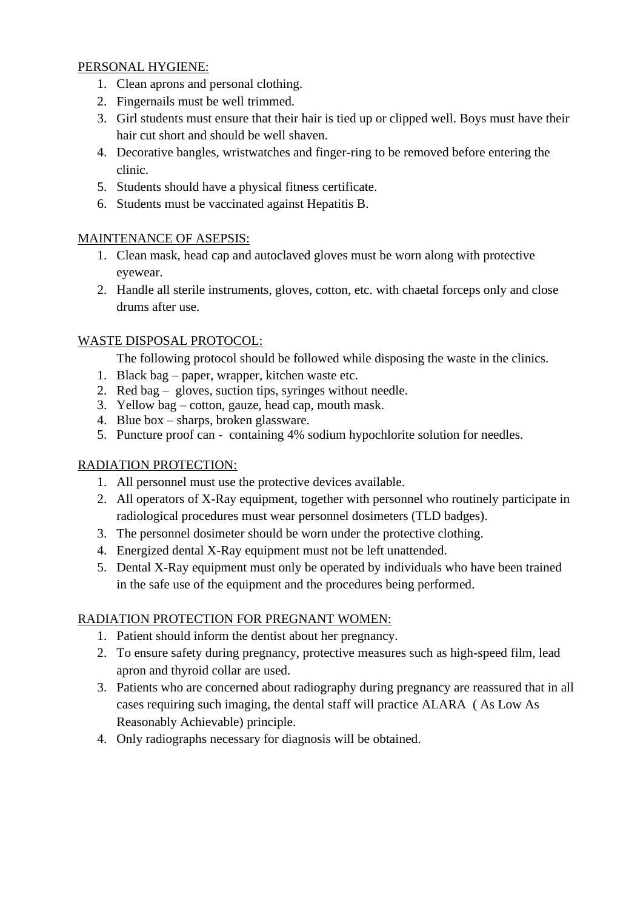#### PERSONAL HYGIENE:

- 1. Clean aprons and personal clothing.
- 2. Fingernails must be well trimmed.
- 3. Girl students must ensure that their hair is tied up or clipped well. Boys must have their hair cut short and should be well shaven.
- 4. Decorative bangles, wristwatches and finger-ring to be removed before entering the clinic.
- 5. Students should have a physical fitness certificate.
- 6. Students must be vaccinated against Hepatitis B.

# MAINTENANCE OF ASEPSIS:

- 1. Clean mask, head cap and autoclaved gloves must be worn along with protective eyewear.
- 2. Handle all sterile instruments, gloves, cotton, etc. with chaetal forceps only and close drums after use.

#### WASTE DISPOSAL PROTOCOL:

The following protocol should be followed while disposing the waste in the clinics.

- 1. Black bag paper, wrapper, kitchen waste etc.
- 2. Red bag gloves, suction tips, syringes without needle.
- 3. Yellow bag cotton, gauze, head cap, mouth mask.
- 4. Blue box sharps, broken glassware.
- 5. Puncture proof can containing 4% sodium hypochlorite solution for needles.

# RADIATION PROTECTION:

- 1. All personnel must use the protective devices available.
- 2. All operators of X-Ray equipment, together with personnel who routinely participate in radiological procedures must wear personnel dosimeters (TLD badges).
- 3. The personnel dosimeter should be worn under the protective clothing.
- 4. Energized dental X-Ray equipment must not be left unattended.
- 5. Dental X-Ray equipment must only be operated by individuals who have been trained in the safe use of the equipment and the procedures being performed.

# RADIATION PROTECTION FOR PREGNANT WOMEN:

- 1. Patient should inform the dentist about her pregnancy.
- 2. To ensure safety during pregnancy, protective measures such as high-speed film, lead apron and thyroid collar are used.
- 3. Patients who are concerned about radiography during pregnancy are reassured that in all cases requiring such imaging, the dental staff will practice ALARA ( As Low As Reasonably Achievable) principle.
- 4. Only radiographs necessary for diagnosis will be obtained.